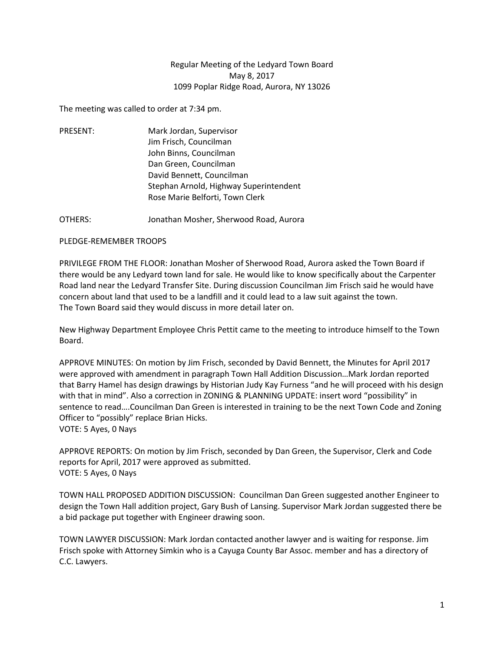## Regular Meeting of the Ledyard Town Board May 8, 2017 1099 Poplar Ridge Road, Aurora, NY 13026

The meeting was called to order at 7:34 pm.

PRESENT: Mark Jordan, Supervisor Jim Frisch, Councilman John Binns, Councilman Dan Green, Councilman David Bennett, Councilman Stephan Arnold, Highway Superintendent Rose Marie Belforti, Town Clerk

OTHERS: Jonathan Mosher, Sherwood Road, Aurora

## PLEDGE-REMEMBER TROOPS

PRIVILEGE FROM THE FLOOR: Jonathan Mosher of Sherwood Road, Aurora asked the Town Board if there would be any Ledyard town land for sale. He would like to know specifically about the Carpenter Road land near the Ledyard Transfer Site. During discussion Councilman Jim Frisch said he would have concern about land that used to be a landfill and it could lead to a law suit against the town. The Town Board said they would discuss in more detail later on.

New Highway Department Employee Chris Pettit came to the meeting to introduce himself to the Town Board.

APPROVE MINUTES: On motion by Jim Frisch, seconded by David Bennett, the Minutes for April 2017 were approved with amendment in paragraph Town Hall Addition Discussion…Mark Jordan reported that Barry Hamel has design drawings by Historian Judy Kay Furness "and he will proceed with his design with that in mind". Also a correction in ZONING & PLANNING UPDATE: insert word "possibility" in sentence to read….Councilman Dan Green is interested in training to be the next Town Code and Zoning Officer to "possibly" replace Brian Hicks. VOTE: 5 Ayes, 0 Nays

APPROVE REPORTS: On motion by Jim Frisch, seconded by Dan Green, the Supervisor, Clerk and Code reports for April, 2017 were approved as submitted. VOTE: 5 Ayes, 0 Nays

TOWN HALL PROPOSED ADDITION DISCUSSION: Councilman Dan Green suggested another Engineer to design the Town Hall addition project, Gary Bush of Lansing. Supervisor Mark Jordan suggested there be a bid package put together with Engineer drawing soon.

TOWN LAWYER DISCUSSION: Mark Jordan contacted another lawyer and is waiting for response. Jim Frisch spoke with Attorney Simkin who is a Cayuga County Bar Assoc. member and has a directory of C.C. Lawyers.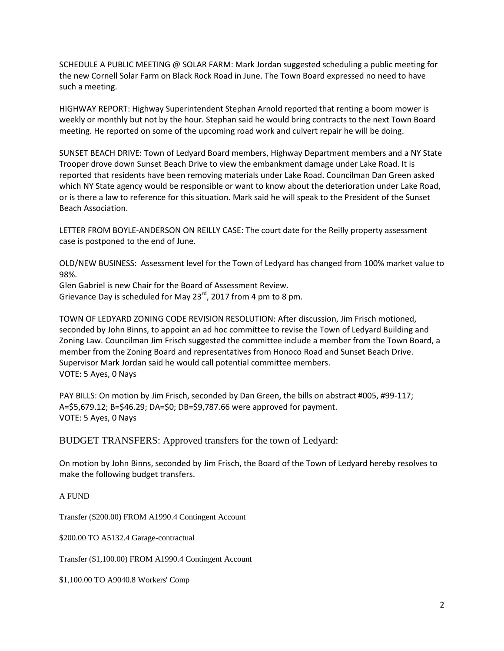SCHEDULE A PUBLIC MEETING @ SOLAR FARM: Mark Jordan suggested scheduling a public meeting for the new Cornell Solar Farm on Black Rock Road in June. The Town Board expressed no need to have such a meeting.

HIGHWAY REPORT: Highway Superintendent Stephan Arnold reported that renting a boom mower is weekly or monthly but not by the hour. Stephan said he would bring contracts to the next Town Board meeting. He reported on some of the upcoming road work and culvert repair he will be doing.

SUNSET BEACH DRIVE: Town of Ledyard Board members, Highway Department members and a NY State Trooper drove down Sunset Beach Drive to view the embankment damage under Lake Road. It is reported that residents have been removing materials under Lake Road. Councilman Dan Green asked which NY State agency would be responsible or want to know about the deterioration under Lake Road, or is there a law to reference for this situation. Mark said he will speak to the President of the Sunset Beach Association.

LETTER FROM BOYLE-ANDERSON ON REILLY CASE: The court date for the Reilly property assessment case is postponed to the end of June.

OLD/NEW BUSINESS: Assessment level for the Town of Ledyard has changed from 100% market value to 98%.

Glen Gabriel is new Chair for the Board of Assessment Review. Grievance Day is scheduled for May 23<sup>rd</sup>, 2017 from 4 pm to 8 pm.

TOWN OF LEDYARD ZONING CODE REVISION RESOLUTION: After discussion, Jim Frisch motioned, seconded by John Binns, to appoint an ad hoc committee to revise the Town of Ledyard Building and Zoning Law. Councilman Jim Frisch suggested the committee include a member from the Town Board, a member from the Zoning Board and representatives from Honoco Road and Sunset Beach Drive. Supervisor Mark Jordan said he would call potential committee members. VOTE: 5 Ayes, 0 Nays

PAY BILLS: On motion by Jim Frisch, seconded by Dan Green, the bills on abstract #005, #99-117; A=\$5,679.12; B=\$46.29; DA=\$0; DB=\$9,787.66 were approved for payment. VOTE: 5 Ayes, 0 Nays

BUDGET TRANSFERS: Approved transfers for the town of Ledyard:

On motion by John Binns, seconded by Jim Frisch, the Board of the Town of Ledyard hereby resolves to make the following budget transfers.

A FUND

Transfer (\$200.00) FROM A1990.4 Contingent Account

\$200.00 TO A5132.4 Garage-contractual

Transfer (\$1,100.00) FROM A1990.4 Contingent Account

\$1,100.00 TO A9040.8 Workers' Comp